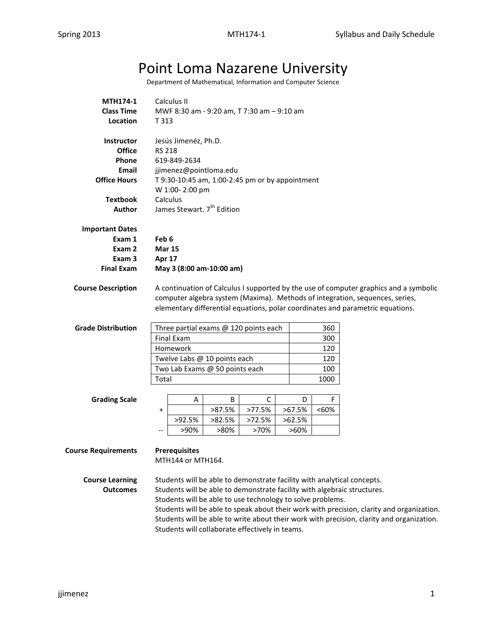## Point Loma Nazarene University

Department of Mathematical, Information and Computer Science

| MTH174-1                           |                                                                                                                                                                                                                                                         | Calculus II          |                                                            |             |             |            |                                                                                           |
|------------------------------------|---------------------------------------------------------------------------------------------------------------------------------------------------------------------------------------------------------------------------------------------------------|----------------------|------------------------------------------------------------|-------------|-------------|------------|-------------------------------------------------------------------------------------------|
| <b>Class Time</b>                  | MWF 8:30 am - 9:20 am, T 7:30 am - 9:10 am                                                                                                                                                                                                              |                      |                                                            |             |             |            |                                                                                           |
| Location                           | T 313                                                                                                                                                                                                                                                   |                      |                                                            |             |             |            |                                                                                           |
| <b>Instructor</b><br><b>Office</b> |                                                                                                                                                                                                                                                         | Jesús Jimenéz, Ph.D. |                                                            |             |             |            |                                                                                           |
| Phone                              | <b>RS 218</b>                                                                                                                                                                                                                                           |                      |                                                            |             |             |            |                                                                                           |
| Email                              | 619-849-2634                                                                                                                                                                                                                                            |                      |                                                            |             |             |            |                                                                                           |
| <b>Office Hours</b>                | jjimenez@pointloma.edu                                                                                                                                                                                                                                  |                      |                                                            |             |             |            |                                                                                           |
|                                    | T 9:30-10:45 am, 1:00-2:45 pm or by appointment<br>W 1:00-2:00 pm                                                                                                                                                                                       |                      |                                                            |             |             |            |                                                                                           |
| <b>Textbook</b>                    | Calculus                                                                                                                                                                                                                                                |                      |                                                            |             |             |            |                                                                                           |
| Author                             | James Stewart. 7 <sup>th</sup> Edition                                                                                                                                                                                                                  |                      |                                                            |             |             |            |                                                                                           |
| <b>Important Dates</b>             |                                                                                                                                                                                                                                                         |                      |                                                            |             |             |            |                                                                                           |
| Exam 1                             | Feb 6                                                                                                                                                                                                                                                   |                      |                                                            |             |             |            |                                                                                           |
| Exam 2                             | <b>Mar 15</b>                                                                                                                                                                                                                                           |                      |                                                            |             |             |            |                                                                                           |
| Exam <sub>3</sub>                  | Apr 17                                                                                                                                                                                                                                                  |                      |                                                            |             |             |            |                                                                                           |
| <b>Final Exam</b>                  |                                                                                                                                                                                                                                                         |                      | May 3 (8:00 am-10:00 am)                                   |             |             |            |                                                                                           |
| <b>Course Description</b>          | A continuation of Calculus I supported by the use of computer graphics and a symbolic<br>computer algebra system (Maxima). Methods of integration, sequences, series,<br>elementary differential equations, polar coordinates and parametric equations. |                      |                                                            |             |             |            |                                                                                           |
| <b>Grade Distribution</b>          |                                                                                                                                                                                                                                                         |                      | Three partial exams @ 120 points each                      |             |             | 360        |                                                                                           |
|                                    |                                                                                                                                                                                                                                                         | <b>Final Exam</b>    |                                                            |             |             | 300        |                                                                                           |
|                                    |                                                                                                                                                                                                                                                         | Homework             |                                                            |             |             | 120        |                                                                                           |
|                                    | Twelve Labs @ 10 points each<br>120                                                                                                                                                                                                                     |                      |                                                            |             |             |            |                                                                                           |
|                                    | Two Lab Exams @ 50 points each<br>100                                                                                                                                                                                                                   |                      |                                                            |             |             |            |                                                                                           |
|                                    | Total                                                                                                                                                                                                                                                   |                      |                                                            |             |             | 1000       |                                                                                           |
|                                    |                                                                                                                                                                                                                                                         |                      |                                                            |             |             |            |                                                                                           |
| <b>Grading Scale</b>               | $\pmb{+}$                                                                                                                                                                                                                                               | A                    | B<br>>87.5%                                                | С<br>>77.5% | D<br>>67.5% | F<br>$60%$ |                                                                                           |
|                                    |                                                                                                                                                                                                                                                         | >92.5%               | >82.5%                                                     | >72.5%      | >62.5%      |            |                                                                                           |
|                                    |                                                                                                                                                                                                                                                         | >90%                 | >80%                                                       | >70%        | $>60\%$     |            |                                                                                           |
|                                    |                                                                                                                                                                                                                                                         |                      |                                                            |             |             |            |                                                                                           |
| <b>Course Requirements</b>         |                                                                                                                                                                                                                                                         | <b>Prerequisites</b> |                                                            |             |             |            |                                                                                           |
|                                    |                                                                                                                                                                                                                                                         | MTH144 or MTH164.    |                                                            |             |             |            |                                                                                           |
| <b>Course Learning</b>             |                                                                                                                                                                                                                                                         |                      |                                                            |             |             |            | Students will be able to demonstrate facility with analytical concepts.                   |
| <b>Outcomes</b>                    |                                                                                                                                                                                                                                                         |                      |                                                            |             |             |            | Students will be able to demonstrate facility with algebraic structures.                  |
|                                    |                                                                                                                                                                                                                                                         |                      | Students will be able to use technology to solve problems. |             |             |            |                                                                                           |
|                                    |                                                                                                                                                                                                                                                         |                      |                                                            |             |             |            | Students will be able to speak about their work with precision, clarity and organization. |
|                                    |                                                                                                                                                                                                                                                         |                      |                                                            |             |             |            | Students will be able to write about their work with precision, clarity and organization. |

Students will collaborate effectively in teams.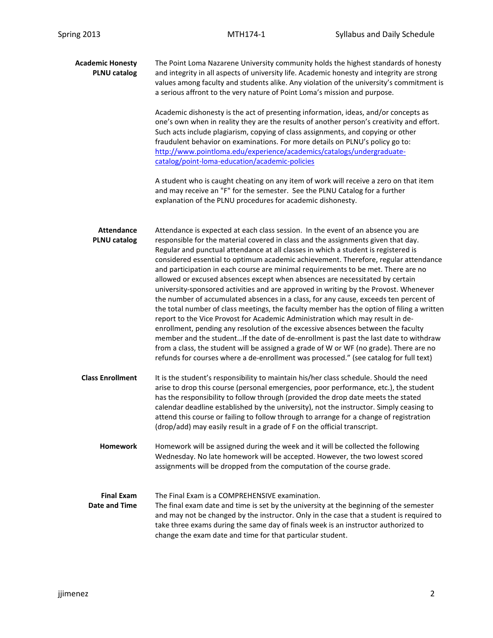| <b>Academic Honesty</b><br><b>PLNU catalog</b> | The Point Loma Nazarene University community holds the highest standards of honesty<br>and integrity in all aspects of university life. Academic honesty and integrity are strong<br>values among faculty and students alike. Any violation of the university's commitment is<br>a serious affront to the very nature of Point Loma's mission and purpose.                                                                                                                                                                                                                                                                                                                                                                                                                                                                                                                                                                                                                                                                                                                                                                                                                                                                                            |  |  |  |  |  |
|------------------------------------------------|-------------------------------------------------------------------------------------------------------------------------------------------------------------------------------------------------------------------------------------------------------------------------------------------------------------------------------------------------------------------------------------------------------------------------------------------------------------------------------------------------------------------------------------------------------------------------------------------------------------------------------------------------------------------------------------------------------------------------------------------------------------------------------------------------------------------------------------------------------------------------------------------------------------------------------------------------------------------------------------------------------------------------------------------------------------------------------------------------------------------------------------------------------------------------------------------------------------------------------------------------------|--|--|--|--|--|
|                                                | Academic dishonesty is the act of presenting information, ideas, and/or concepts as<br>one's own when in reality they are the results of another person's creativity and effort.<br>Such acts include plagiarism, copying of class assignments, and copying or other<br>fraudulent behavior on examinations. For more details on PLNU's policy go to:<br>http://www.pointloma.edu/experience/academics/catalogs/undergraduate-<br>catalog/point-loma-education/academic-policies                                                                                                                                                                                                                                                                                                                                                                                                                                                                                                                                                                                                                                                                                                                                                                      |  |  |  |  |  |
|                                                | A student who is caught cheating on any item of work will receive a zero on that item<br>and may receive an "F" for the semester. See the PLNU Catalog for a further<br>explanation of the PLNU procedures for academic dishonesty.                                                                                                                                                                                                                                                                                                                                                                                                                                                                                                                                                                                                                                                                                                                                                                                                                                                                                                                                                                                                                   |  |  |  |  |  |
| <b>Attendance</b><br><b>PLNU catalog</b>       | Attendance is expected at each class session. In the event of an absence you are<br>responsible for the material covered in class and the assignments given that day.<br>Regular and punctual attendance at all classes in which a student is registered is<br>considered essential to optimum academic achievement. Therefore, regular attendance<br>and participation in each course are minimal requirements to be met. There are no<br>allowed or excused absences except when absences are necessitated by certain<br>university-sponsored activities and are approved in writing by the Provost. Whenever<br>the number of accumulated absences in a class, for any cause, exceeds ten percent of<br>the total number of class meetings, the faculty member has the option of filing a written<br>report to the Vice Provost for Academic Administration which may result in de-<br>enrollment, pending any resolution of the excessive absences between the faculty<br>member and the studentIf the date of de-enrollment is past the last date to withdraw<br>from a class, the student will be assigned a grade of W or WF (no grade). There are no<br>refunds for courses where a de-enrollment was processed." (see catalog for full text) |  |  |  |  |  |
| <b>Class Enrollment</b>                        | It is the student's responsibility to maintain his/her class schedule. Should the need<br>arise to drop this course (personal emergencies, poor performance, etc.), the student<br>has the responsibility to follow through (provided the drop date meets the stated<br>calendar deadline established by the university), not the instructor. Simply ceasing to<br>attend this course or failing to follow through to arrange for a change of registration<br>(drop/add) may easily result in a grade of F on the official transcript.                                                                                                                                                                                                                                                                                                                                                                                                                                                                                                                                                                                                                                                                                                                |  |  |  |  |  |
| Homework                                       | Homework will be assigned during the week and it will be collected the following<br>Wednesday. No late homework will be accepted. However, the two lowest scored<br>assignments will be dropped from the computation of the course grade.                                                                                                                                                                                                                                                                                                                                                                                                                                                                                                                                                                                                                                                                                                                                                                                                                                                                                                                                                                                                             |  |  |  |  |  |
| <b>Final Exam</b><br><b>Date and Time</b>      | The Final Exam is a COMPREHENSIVE examination.<br>The final exam date and time is set by the university at the beginning of the semester<br>and may not be changed by the instructor. Only in the case that a student is required to<br>take three exams during the same day of finals week is an instructor authorized to<br>change the exam date and time for that particular student.                                                                                                                                                                                                                                                                                                                                                                                                                                                                                                                                                                                                                                                                                                                                                                                                                                                              |  |  |  |  |  |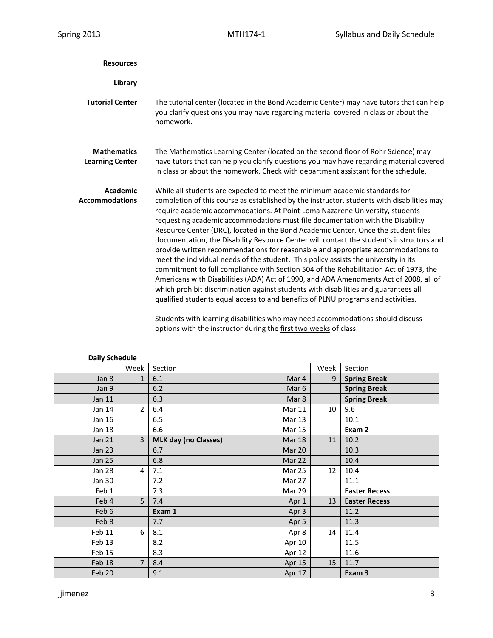| <b>Resources</b>                             |                                                                                                                                                                                                                                                                                                                                                                                                                                                                                                                                                                                                                                                                                                                                                                                                                                                                                                                                                                                                                                                                                                                                                                       |
|----------------------------------------------|-----------------------------------------------------------------------------------------------------------------------------------------------------------------------------------------------------------------------------------------------------------------------------------------------------------------------------------------------------------------------------------------------------------------------------------------------------------------------------------------------------------------------------------------------------------------------------------------------------------------------------------------------------------------------------------------------------------------------------------------------------------------------------------------------------------------------------------------------------------------------------------------------------------------------------------------------------------------------------------------------------------------------------------------------------------------------------------------------------------------------------------------------------------------------|
| Library                                      |                                                                                                                                                                                                                                                                                                                                                                                                                                                                                                                                                                                                                                                                                                                                                                                                                                                                                                                                                                                                                                                                                                                                                                       |
| <b>Tutorial Center</b>                       | The tutorial center (located in the Bond Academic Center) may have tutors that can help<br>you clarify questions you may have regarding material covered in class or about the<br>homework.                                                                                                                                                                                                                                                                                                                                                                                                                                                                                                                                                                                                                                                                                                                                                                                                                                                                                                                                                                           |
| <b>Mathematics</b><br><b>Learning Center</b> | The Mathematics Learning Center (located on the second floor of Rohr Science) may<br>have tutors that can help you clarify questions you may have regarding material covered<br>in class or about the homework. Check with department assistant for the schedule.                                                                                                                                                                                                                                                                                                                                                                                                                                                                                                                                                                                                                                                                                                                                                                                                                                                                                                     |
| <b>Academic</b><br><b>Accommodations</b>     | While all students are expected to meet the minimum academic standards for<br>completion of this course as established by the instructor, students with disabilities may<br>require academic accommodations. At Point Loma Nazarene University, students<br>requesting academic accommodations must file documentation with the Disability<br>Resource Center (DRC), located in the Bond Academic Center. Once the student files<br>documentation, the Disability Resource Center will contact the student's instructors and<br>provide written recommendations for reasonable and appropriate accommodations to<br>meet the individual needs of the student. This policy assists the university in its<br>commitment to full compliance with Section 504 of the Rehabilitation Act of 1973, the<br>Americans with Disabilities (ADA) Act of 1990, and ADA Amendments Act of 2008, all of<br>which prohibit discrimination against students with disabilities and guarantees all<br>qualified students equal access to and benefits of PLNU programs and activities.<br>ومستموناه الماسمام ومستلفظه ومسموموهم اموموسيتموس واستحمانا توامعناه ومستوسمها والشيب مفسومات |

Students with learning disabilities who may need accommodations should discuss options with the instructor during the first two weeks of class.

| Pany Juliuwiu |                |                             |                  |      |                      |  |  |
|---------------|----------------|-----------------------------|------------------|------|----------------------|--|--|
|               | Week           | Section                     |                  | Week | Section              |  |  |
| Jan 8         | $\mathbf{1}$   | 6.1                         | Mar 4            | 9    | <b>Spring Break</b>  |  |  |
| Jan 9         |                | 6.2                         | Mar <sub>6</sub> |      | <b>Spring Break</b>  |  |  |
| Jan 11        |                | 6.3                         | Mar 8            |      | <b>Spring Break</b>  |  |  |
| Jan 14        | $\overline{2}$ | 6.4                         | Mar 11           | 10   | 9.6                  |  |  |
| Jan 16        |                | 6.5                         | Mar 13           |      | 10.1                 |  |  |
| Jan 18        |                | 6.6                         | <b>Mar 15</b>    |      | Exam 2               |  |  |
| Jan 21        | $\overline{3}$ | <b>MLK day (no Classes)</b> | Mar 18           | 11   | 10.2                 |  |  |
| <b>Jan 23</b> |                | 6.7                         | Mar 20           |      | 10.3                 |  |  |
| <b>Jan 25</b> |                | 6.8                         | Mar 22           |      | 10.4                 |  |  |
| <b>Jan 28</b> | 4              | 7.1                         | Mar 25           | 12   | 10.4                 |  |  |
| <b>Jan 30</b> |                | 7.2                         | Mar 27           |      | 11.1                 |  |  |
| Feb 1         |                | 7.3                         | Mar 29           |      | <b>Easter Recess</b> |  |  |
| Feb 4         | 5              | 7.4                         | Apr 1            | 13   | <b>Easter Recess</b> |  |  |
| Feb 6         |                | Exam 1                      | Apr 3            |      | 11.2                 |  |  |
| Feb 8         |                | 7.7                         | Apr 5            |      | 11.3                 |  |  |
| Feb 11        | 6              | 8.1                         | Apr 8            | 14   | 11.4                 |  |  |
| Feb 13        |                | 8.2                         | Apr 10           |      | 11.5                 |  |  |
| Feb 15        |                | 8.3                         | Apr 12           |      | 11.6                 |  |  |
| Feb 18        | $\overline{7}$ | 8.4                         | Apr 15           | 15   | 11.7                 |  |  |
| Feb 20        |                | 9.1                         | Apr 17           |      | Exam 3               |  |  |

## **Daily Schedule**